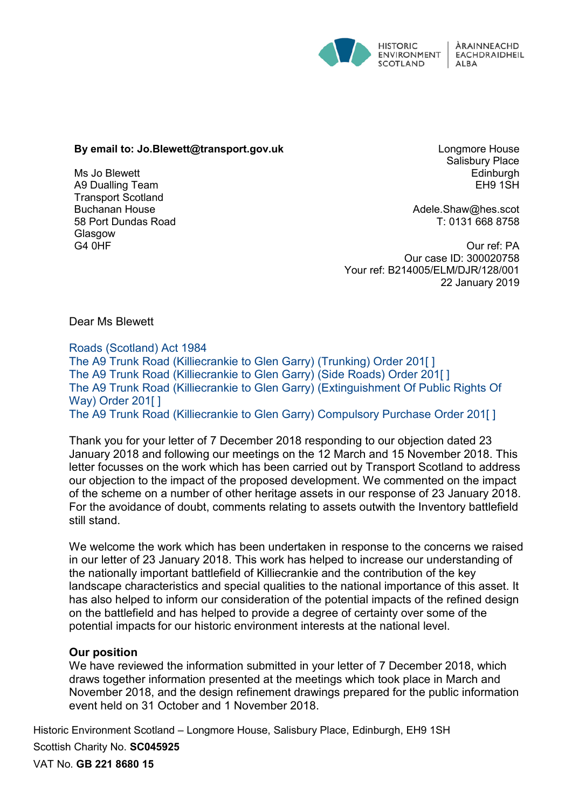

#### **By email to: Jo.Blewett@transport.gov.uk**

Ms Jo Blewett A9 Dualling Team Transport Scotland Buchanan House 58 Port Dundas Road Glasgow G4 0HF

Longmore House Salisbury Place **Edinburgh** EH9 1SH

Adele.Shaw@hes.scot T: 0131 668 8758

Our ref: PA Our case ID: 300020758 Your ref: B214005/ELM/DJR/128/001 22 January 2019

Dear Ms Blewett

Roads (Scotland) Act 1984 The A9 Trunk Road (Killiecrankie to Glen Garry) (Trunking) Order 201[ ] The A9 Trunk Road (Killiecrankie to Glen Garry) (Side Roads) Order 201[ ] The A9 Trunk Road (Killiecrankie to Glen Garry) (Extinguishment Of Public Rights Of Way) Order 201[] The A9 Trunk Road (Killiecrankie to Glen Garry) Compulsory Purchase Order 201[ ]

Thank you for your letter of 7 December 2018 responding to our objection dated 23 January 2018 and following our meetings on the 12 March and 15 November 2018. This letter focusses on the work which has been carried out by Transport Scotland to address our objection to the impact of the proposed development. We commented on the impact of the scheme on a number of other heritage assets in our response of 23 January 2018. For the avoidance of doubt, comments relating to assets outwith the Inventory battlefield still stand.

We welcome the work which has been undertaken in response to the concerns we raised in our letter of 23 January 2018. This work has helped to increase our understanding of the nationally important battlefield of Killiecrankie and the contribution of the key landscape characteristics and special qualities to the national importance of this asset. It has also helped to inform our consideration of the potential impacts of the refined design on the battlefield and has helped to provide a degree of certainty over some of the potential impacts for our historic environment interests at the national level.

## **Our position**

We have reviewed the information submitted in your letter of 7 December 2018, which draws together information presented at the meetings which took place in March and November 2018, and the design refinement drawings prepared for the public information event held on 31 October and 1 November 2018.

Historic Environment Scotland – Longmore House, Salisbury Place, Edinburgh, EH9 1SH Scottish Charity No. **SC045925**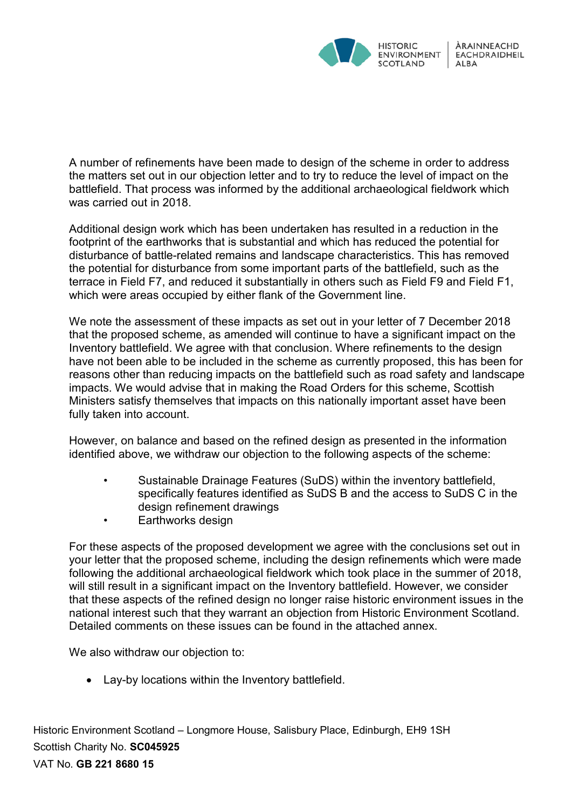

A number of refinements have been made to design of the scheme in order to address the matters set out in our objection letter and to try to reduce the level of impact on the battlefield. That process was informed by the additional archaeological fieldwork which was carried out in 2018.

Additional design work which has been undertaken has resulted in a reduction in the footprint of the earthworks that is substantial and which has reduced the potential for disturbance of battle-related remains and landscape characteristics. This has removed the potential for disturbance from some important parts of the battlefield, such as the terrace in Field F7, and reduced it substantially in others such as Field F9 and Field F1, which were areas occupied by either flank of the Government line.

We note the assessment of these impacts as set out in your letter of 7 December 2018 that the proposed scheme, as amended will continue to have a significant impact on the Inventory battlefield. We agree with that conclusion. Where refinements to the design have not been able to be included in the scheme as currently proposed, this has been for reasons other than reducing impacts on the battlefield such as road safety and landscape impacts. We would advise that in making the Road Orders for this scheme, Scottish Ministers satisfy themselves that impacts on this nationally important asset have been fully taken into account.

However, on balance and based on the refined design as presented in the information identified above, we withdraw our objection to the following aspects of the scheme:

- Sustainable Drainage Features (SuDS) within the inventory battlefield, specifically features identified as SuDS B and the access to SuDS C in the design refinement drawings
- Earthworks design

For these aspects of the proposed development we agree with the conclusions set out in your letter that the proposed scheme, including the design refinements which were made following the additional archaeological fieldwork which took place in the summer of 2018, will still result in a significant impact on the Inventory battlefield. However, we consider that these aspects of the refined design no longer raise historic environment issues in the national interest such that they warrant an objection from Historic Environment Scotland. Detailed comments on these issues can be found in the attached annex.

We also withdraw our objection to:

• Lay-by locations within the Inventory battlefield.

Historic Environment Scotland – Longmore House, Salisbury Place, Edinburgh, EH9 1SH Scottish Charity No. **SC045925** VAT No. **GB 221 8680 15**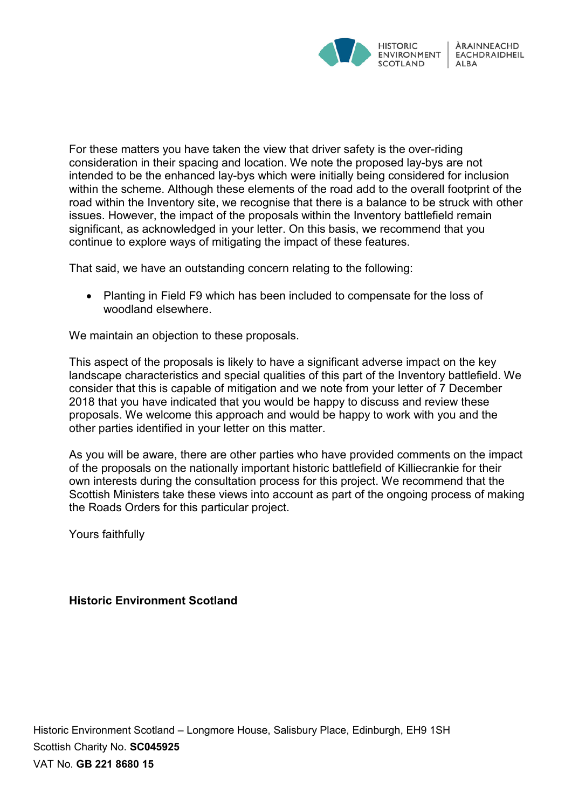

For these matters you have taken the view that driver safety is the over-riding consideration in their spacing and location. We note the proposed lay-bys are not intended to be the enhanced lay-bys which were initially being considered for inclusion within the scheme. Although these elements of the road add to the overall footprint of the road within the Inventory site, we recognise that there is a balance to be struck with other issues. However, the impact of the proposals within the Inventory battlefield remain significant, as acknowledged in your letter. On this basis, we recommend that you continue to explore ways of mitigating the impact of these features.

That said, we have an outstanding concern relating to the following:

• Planting in Field F9 which has been included to compensate for the loss of woodland elsewhere.

We maintain an objection to these proposals.

This aspect of the proposals is likely to have a significant adverse impact on the key landscape characteristics and special qualities of this part of the Inventory battlefield. We consider that this is capable of mitigation and we note from your letter of 7 December 2018 that you have indicated that you would be happy to discuss and review these proposals. We welcome this approach and would be happy to work with you and the other parties identified in your letter on this matter.

As you will be aware, there are other parties who have provided comments on the impact of the proposals on the nationally important historic battlefield of Killiecrankie for their own interests during the consultation process for this project. We recommend that the Scottish Ministers take these views into account as part of the ongoing process of making the Roads Orders for this particular project.

Yours faithfully

**Historic Environment Scotland**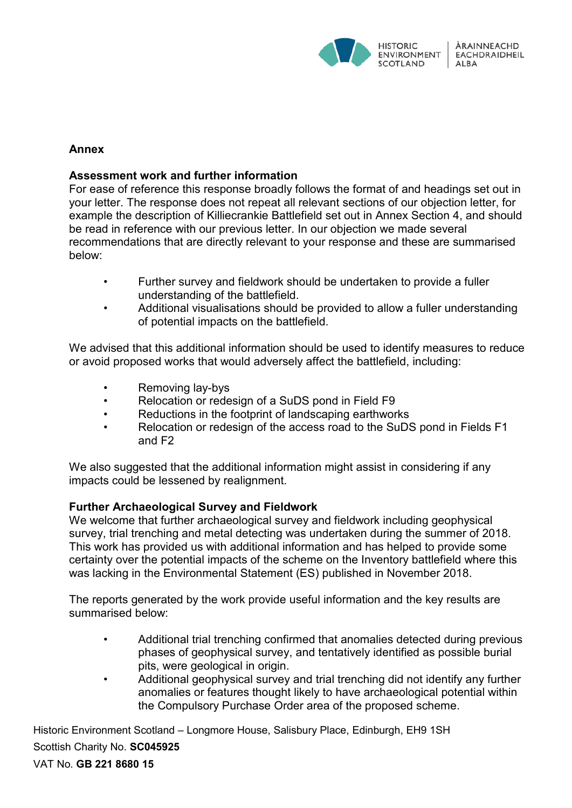

# **Annex**

# **Assessment work and further information**

For ease of reference this response broadly follows the format of and headings set out in your letter. The response does not repeat all relevant sections of our objection letter, for example the description of Killiecrankie Battlefield set out in Annex Section 4, and should be read in reference with our previous letter. In our objection we made several recommendations that are directly relevant to your response and these are summarised below:

- Further survey and fieldwork should be undertaken to provide a fuller understanding of the battlefield.
- Additional visualisations should be provided to allow a fuller understanding of potential impacts on the battlefield.

We advised that this additional information should be used to identify measures to reduce or avoid proposed works that would adversely affect the battlefield, including:

- Removing lay-bys
- Relocation or redesign of a SuDS pond in Field F9
- Reductions in the footprint of landscaping earthworks
- Relocation or redesign of the access road to the SuDS pond in Fields F1 and F2

We also suggested that the additional information might assist in considering if any impacts could be lessened by realignment.

## **Further Archaeological Survey and Fieldwork**

We welcome that further archaeological survey and fieldwork including geophysical survey, trial trenching and metal detecting was undertaken during the summer of 2018. This work has provided us with additional information and has helped to provide some certainty over the potential impacts of the scheme on the Inventory battlefield where this was lacking in the Environmental Statement (ES) published in November 2018.

The reports generated by the work provide useful information and the key results are summarised below:

- Additional trial trenching confirmed that anomalies detected during previous phases of geophysical survey, and tentatively identified as possible burial pits, were geological in origin.
- Additional geophysical survey and trial trenching did not identify any further anomalies or features thought likely to have archaeological potential within the Compulsory Purchase Order area of the proposed scheme.

Historic Environment Scotland – Longmore House, Salisbury Place, Edinburgh, EH9 1SH Scottish Charity No. **SC045925**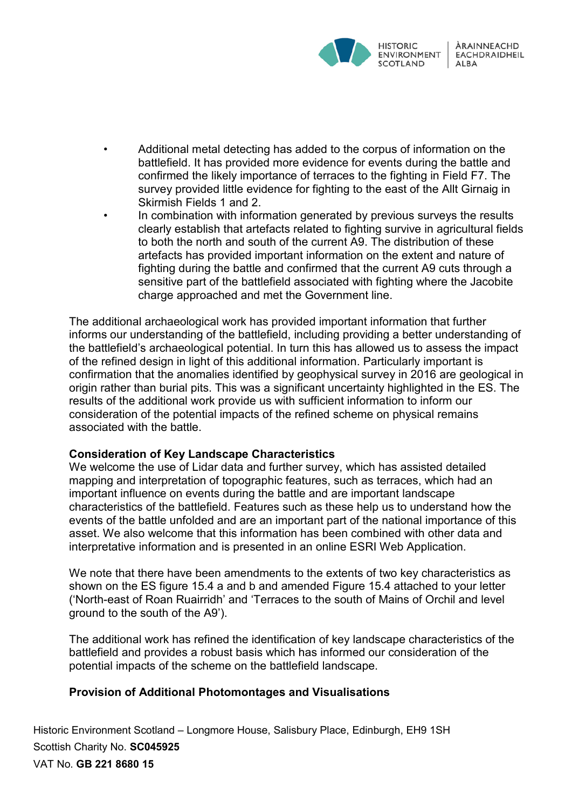

- Additional metal detecting has added to the corpus of information on the battlefield. It has provided more evidence for events during the battle and confirmed the likely importance of terraces to the fighting in Field F7. The survey provided little evidence for fighting to the east of the Allt Girnaig in Skirmish Fields 1 and 2.
- In combination with information generated by previous surveys the results clearly establish that artefacts related to fighting survive in agricultural fields to both the north and south of the current A9. The distribution of these artefacts has provided important information on the extent and nature of fighting during the battle and confirmed that the current A9 cuts through a sensitive part of the battlefield associated with fighting where the Jacobite charge approached and met the Government line.

The additional archaeological work has provided important information that further informs our understanding of the battlefield, including providing a better understanding of the battlefield's archaeological potential. In turn this has allowed us to assess the impact of the refined design in light of this additional information. Particularly important is confirmation that the anomalies identified by geophysical survey in 2016 are geological in origin rather than burial pits. This was a significant uncertainty highlighted in the ES. The results of the additional work provide us with sufficient information to inform our consideration of the potential impacts of the refined scheme on physical remains associated with the battle.

## **Consideration of Key Landscape Characteristics**

We welcome the use of Lidar data and further survey, which has assisted detailed mapping and interpretation of topographic features, such as terraces, which had an important influence on events during the battle and are important landscape characteristics of the battlefield. Features such as these help us to understand how the events of the battle unfolded and are an important part of the national importance of this asset. We also welcome that this information has been combined with other data and interpretative information and is presented in an online ESRI Web Application.

We note that there have been amendments to the extents of two key characteristics as shown on the ES figure 15.4 a and b and amended Figure 15.4 attached to your letter ('North-east of Roan Ruairridh' and 'Terraces to the south of Mains of Orchil and level ground to the south of the A9').

The additional work has refined the identification of key landscape characteristics of the battlefield and provides a robust basis which has informed our consideration of the potential impacts of the scheme on the battlefield landscape.

# **Provision of Additional Photomontages and Visualisations**

Historic Environment Scotland – Longmore House, Salisbury Place, Edinburgh, EH9 1SH Scottish Charity No. **SC045925** VAT No. **GB 221 8680 15**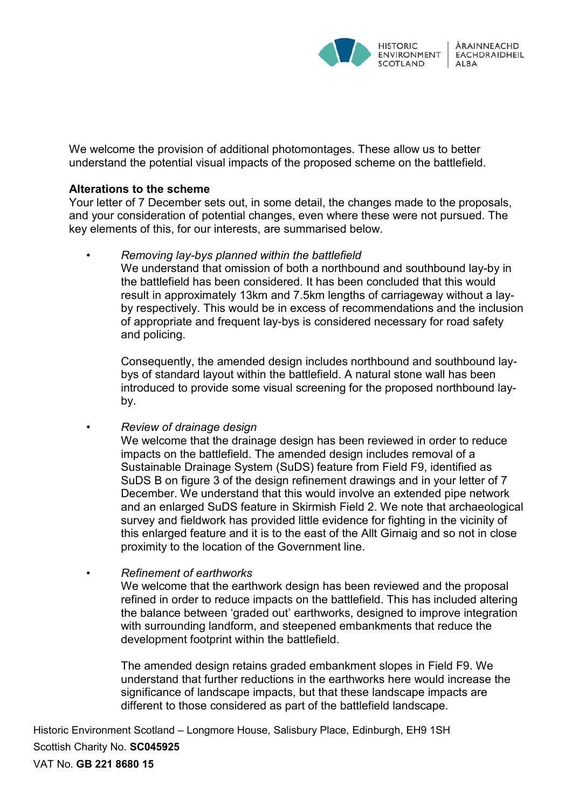

We welcome the provision of additional photomontages. These allow us to better understand the potential visual impacts of the proposed scheme on the battlefield.

## **Alterations to the scheme**

Your letter of 7 December sets out, in some detail, the changes made to the proposals, and your consideration of potential changes, even where these were not pursued. The key elements of this, for our interests, are summarised below.

• *Removing lay-bys planned within the battlefield*

We understand that omission of both a northbound and southbound lay-by in the battlefield has been considered. It has been concluded that this would result in approximately 13km and 7.5km lengths of carriageway without a layby respectively. This would be in excess of recommendations and the inclusion of appropriate and frequent lay-bys is considered necessary for road safety and policing.

Consequently, the amended design includes northbound and southbound laybys of standard layout within the battlefield. A natural stone wall has been introduced to provide some visual screening for the proposed northbound layby.

• *Review of drainage design*

We welcome that the drainage design has been reviewed in order to reduce impacts on the battlefield. The amended design includes removal of a Sustainable Drainage System (SuDS) feature from Field F9, identified as SuDS B on figure 3 of the design refinement drawings and in your letter of 7 December. We understand that this would involve an extended pipe network and an enlarged SuDS feature in Skirmish Field 2. We note that archaeological survey and fieldwork has provided little evidence for fighting in the vicinity of this enlarged feature and it is to the east of the Allt Girnaig and so not in close proximity to the location of the Government line.

• *Refinement of earthworks*

We welcome that the earthwork design has been reviewed and the proposal refined in order to reduce impacts on the battlefield. This has included altering the balance between 'graded out' earthworks, designed to improve integration with surrounding landform, and steepened embankments that reduce the development footprint within the battlefield.

The amended design retains graded embankment slopes in Field F9. We understand that further reductions in the earthworks here would increase the significance of landscape impacts, but that these landscape impacts are different to those considered as part of the battlefield landscape.

Historic Environment Scotland – Longmore House, Salisbury Place, Edinburgh, EH9 1SH Scottish Charity No. **SC045925**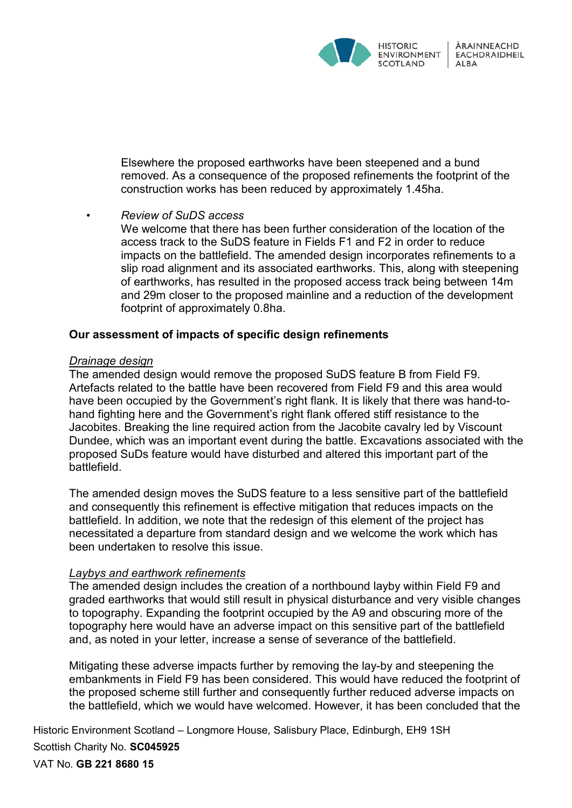

Elsewhere the proposed earthworks have been steepened and a bund removed. As a consequence of the proposed refinements the footprint of the construction works has been reduced by approximately 1.45ha.

## • *Review of SuDS access*

We welcome that there has been further consideration of the location of the access track to the SuDS feature in Fields F1 and F2 in order to reduce impacts on the battlefield. The amended design incorporates refinements to a slip road alignment and its associated earthworks. This, along with steepening of earthworks, has resulted in the proposed access track being between 14m and 29m closer to the proposed mainline and a reduction of the development footprint of approximately 0.8ha.

## **Our assessment of impacts of specific design refinements**

#### *Drainage design*

The amended design would remove the proposed SuDS feature B from Field F9. Artefacts related to the battle have been recovered from Field F9 and this area would have been occupied by the Government's right flank. It is likely that there was hand-tohand fighting here and the Government's right flank offered stiff resistance to the Jacobites. Breaking the line required action from the Jacobite cavalry led by Viscount Dundee, which was an important event during the battle. Excavations associated with the proposed SuDs feature would have disturbed and altered this important part of the battlefield.

The amended design moves the SuDS feature to a less sensitive part of the battlefield and consequently this refinement is effective mitigation that reduces impacts on the battlefield. In addition, we note that the redesign of this element of the project has necessitated a departure from standard design and we welcome the work which has been undertaken to resolve this issue.

## *Laybys and earthwork refinements*

The amended design includes the creation of a northbound layby within Field F9 and graded earthworks that would still result in physical disturbance and very visible changes to topography. Expanding the footprint occupied by the A9 and obscuring more of the topography here would have an adverse impact on this sensitive part of the battlefield and, as noted in your letter, increase a sense of severance of the battlefield.

Mitigating these adverse impacts further by removing the lay-by and steepening the embankments in Field F9 has been considered. This would have reduced the footprint of the proposed scheme still further and consequently further reduced adverse impacts on the battlefield, which we would have welcomed. However, it has been concluded that the

Historic Environment Scotland – Longmore House, Salisbury Place, Edinburgh, EH9 1SH

Scottish Charity No. **SC045925**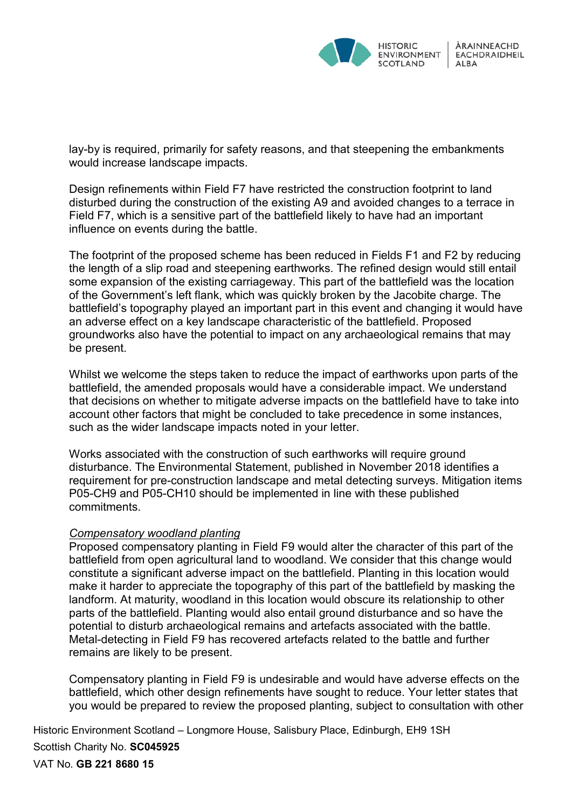

lay-by is required, primarily for safety reasons, and that steepening the embankments would increase landscape impacts.

Design refinements within Field F7 have restricted the construction footprint to land disturbed during the construction of the existing A9 and avoided changes to a terrace in Field F7, which is a sensitive part of the battlefield likely to have had an important influence on events during the battle.

The footprint of the proposed scheme has been reduced in Fields F1 and F2 by reducing the length of a slip road and steepening earthworks. The refined design would still entail some expansion of the existing carriageway. This part of the battlefield was the location of the Government's left flank, which was quickly broken by the Jacobite charge. The battlefield's topography played an important part in this event and changing it would have an adverse effect on a key landscape characteristic of the battlefield. Proposed groundworks also have the potential to impact on any archaeological remains that may be present.

Whilst we welcome the steps taken to reduce the impact of earthworks upon parts of the battlefield, the amended proposals would have a considerable impact. We understand that decisions on whether to mitigate adverse impacts on the battlefield have to take into account other factors that might be concluded to take precedence in some instances, such as the wider landscape impacts noted in your letter.

Works associated with the construction of such earthworks will require ground disturbance. The Environmental Statement, published in November 2018 identifies a requirement for pre-construction landscape and metal detecting surveys. Mitigation items P05-CH9 and P05-CH10 should be implemented in line with these published commitments.

## *Compensatory woodland planting*

Proposed compensatory planting in Field F9 would alter the character of this part of the battlefield from open agricultural land to woodland. We consider that this change would constitute a significant adverse impact on the battlefield. Planting in this location would make it harder to appreciate the topography of this part of the battlefield by masking the landform. At maturity, woodland in this location would obscure its relationship to other parts of the battlefield. Planting would also entail ground disturbance and so have the potential to disturb archaeological remains and artefacts associated with the battle. Metal-detecting in Field F9 has recovered artefacts related to the battle and further remains are likely to be present.

Compensatory planting in Field F9 is undesirable and would have adverse effects on the battlefield, which other design refinements have sought to reduce. Your letter states that you would be prepared to review the proposed planting, subject to consultation with other

Historic Environment Scotland – Longmore House, Salisbury Place, Edinburgh, EH9 1SH Scottish Charity No. **SC045925**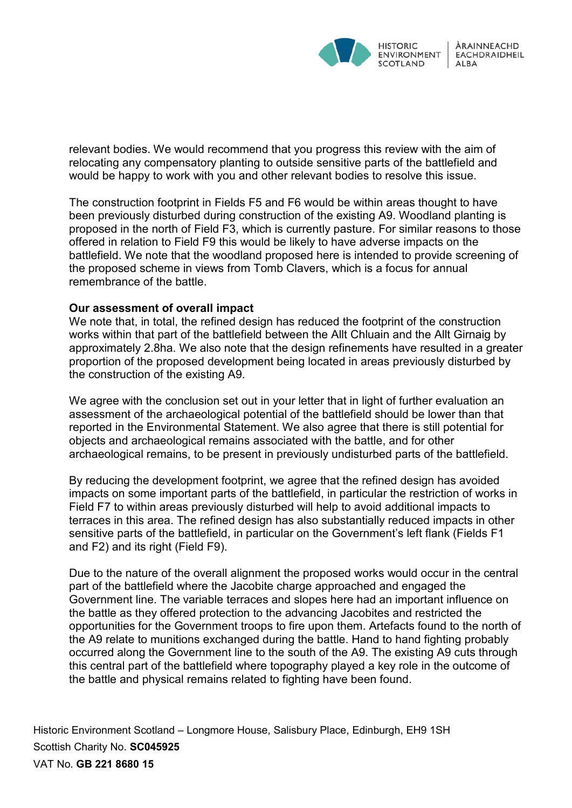

relevant bodies. We would recommend that you progress this review with the aim of relocating any compensatory planting to outside sensitive parts of the battlefield and would be happy to work with you and other relevant bodies to resolve this issue.

The construction footprint in Fields F5 and F6 would be within areas thought to have been previously disturbed during construction of the existing A9. Woodland planting is proposed in the north of Field F3, which is currently pasture. For similar reasons to those offered in relation to Field F9 this would be likely to have adverse impacts on the battlefield. We note that the woodland proposed here is intended to provide screening of the proposed scheme in views from Tomb Clavers, which is a focus for annual remembrance of the battle.

## **Our assessment of overall impact**

We note that, in total, the refined design has reduced the footprint of the construction works within that part of the battlefield between the Allt Chluain and the Allt Girnaig by approximately 2.8ha. We also note that the design refinements have resulted in a greater proportion of the proposed development being located in areas previously disturbed by the construction of the existing A9.

We agree with the conclusion set out in your letter that in light of further evaluation an assessment of the archaeological potential of the battlefield should be lower than that reported in the Environmental Statement. We also agree that there is still potential for objects and archaeological remains associated with the battle, and for other archaeological remains, to be present in previously undisturbed parts of the battlefield.

By reducing the development footprint, we agree that the refined design has avoided impacts on some important parts of the battlefield, in particular the restriction of works in Field F7 to within areas previously disturbed will help to avoid additional impacts to terraces in this area. The refined design has also substantially reduced impacts in other sensitive parts of the battlefield, in particular on the Government's left flank (Fields F1 and F2) and its right (Field F9).

Due to the nature of the overall alignment the proposed works would occur in the central part of the battlefield where the Jacobite charge approached and engaged the Government line. The variable terraces and slopes here had an important influence on the battle as they offered protection to the advancing Jacobites and restricted the opportunities for the Government troops to fire upon them. Artefacts found to the north of the A9 relate to munitions exchanged during the battle. Hand to hand fighting probably occurred along the Government line to the south of the A9. The existing A9 cuts through this central part of the battlefield where topography played a key role in the outcome of the battle and physical remains related to fighting have been found.

Historic Environment Scotland – Longmore House, Salisbury Place, Edinburgh, EH9 1SH Scottish Charity No. **SC045925** VAT No. **GB 221 8680 15**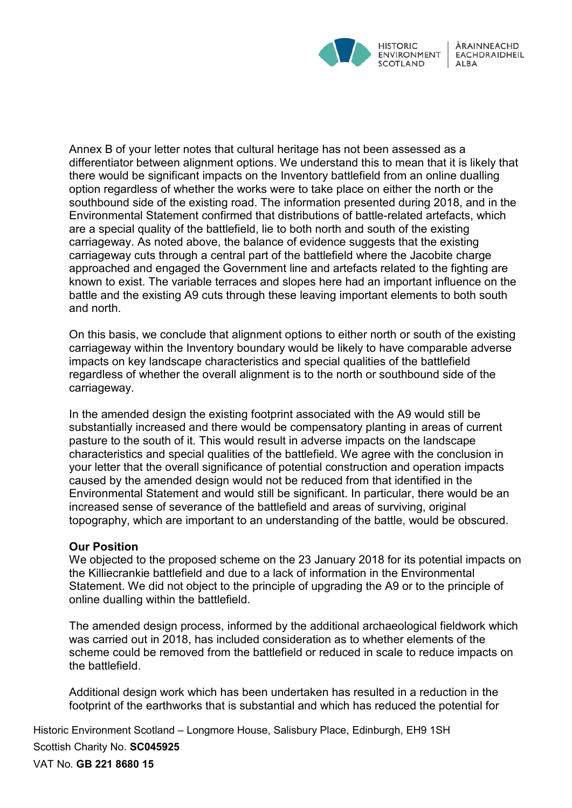

Annex B of your letter notes that cultural heritage has not been assessed as a differentiator between alignment options. We understand this to mean that it is likely that there would be significant impacts on the Inventory battlefield from an online dualling option regardless of whether the works were to take place on either the north or the southbound side of the existing road. The information presented during 2018, and in the Environmental Statement confirmed that distributions of battle-related artefacts, which are a special quality of the battlefield, lie to both north and south of the existing carriageway. As noted above, the balance of evidence suggests that the existing carriageway cuts through a central part of the battlefield where the Jacobite charge approached and engaged the Government line and artefacts related to the fighting are known to exist. The variable terraces and slopes here had an important influence on the battle and the existing A9 cuts through these leaving important elements to both south and north.

On this basis, we conclude that alignment options to either north or south of the existing carriageway within the Inventory boundary would be likely to have comparable adverse impacts on key landscape characteristics and special qualities of the battlefield regardless of whether the overall alignment is to the north or southbound side of the carriageway.

In the amended design the existing footprint associated with the A9 would still be substantially increased and there would be compensatory planting in areas of current pasture to the south of it. This would result in adverse impacts on the landscape characteristics and special qualities of the battlefield. We agree with the conclusion in your letter that the overall significance of potential construction and operation impacts caused by the amended design would not be reduced from that identified in the Environmental Statement and would still be significant. In particular, there would be an increased sense of severance of the battlefield and areas of surviving, original topography, which are important to an understanding of the battle, would be obscured.

## **Our Position**

We objected to the proposed scheme on the 23 January 2018 for its potential impacts on the Killiecrankie battlefield and due to a lack of information in the Environmental Statement. We did not object to the principle of upgrading the A9 or to the principle of online dualling within the battlefield.

The amended design process, informed by the additional archaeological fieldwork which was carried out in 2018, has included consideration as to whether elements of the scheme could be removed from the battlefield or reduced in scale to reduce impacts on the battlefield.

Additional design work which has been undertaken has resulted in a reduction in the footprint of the earthworks that is substantial and which has reduced the potential for

Historic Environment Scotland – Longmore House, Salisbury Place, Edinburgh, EH9 1SH Scottish Charity No. **SC045925**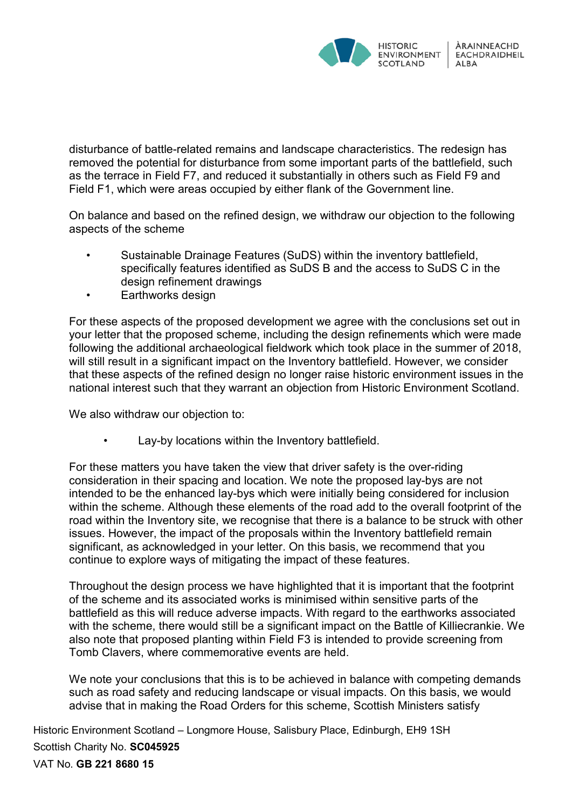

disturbance of battle-related remains and landscape characteristics. The redesign has removed the potential for disturbance from some important parts of the battlefield, such as the terrace in Field F7, and reduced it substantially in others such as Field F9 and Field F1, which were areas occupied by either flank of the Government line.

On balance and based on the refined design, we withdraw our objection to the following aspects of the scheme

- Sustainable Drainage Features (SuDS) within the inventory battlefield, specifically features identified as SuDS B and the access to SuDS C in the design refinement drawings
- Earthworks design

For these aspects of the proposed development we agree with the conclusions set out in your letter that the proposed scheme, including the design refinements which were made following the additional archaeological fieldwork which took place in the summer of 2018, will still result in a significant impact on the Inventory battlefield. However, we consider that these aspects of the refined design no longer raise historic environment issues in the national interest such that they warrant an objection from Historic Environment Scotland.

We also withdraw our objection to:

Lay-by locations within the Inventory battlefield.

For these matters you have taken the view that driver safety is the over-riding consideration in their spacing and location. We note the proposed lay-bys are not intended to be the enhanced lay-bys which were initially being considered for inclusion within the scheme. Although these elements of the road add to the overall footprint of the road within the Inventory site, we recognise that there is a balance to be struck with other issues. However, the impact of the proposals within the Inventory battlefield remain significant, as acknowledged in your letter. On this basis, we recommend that you continue to explore ways of mitigating the impact of these features.

Throughout the design process we have highlighted that it is important that the footprint of the scheme and its associated works is minimised within sensitive parts of the battlefield as this will reduce adverse impacts. With regard to the earthworks associated with the scheme, there would still be a significant impact on the Battle of Killiecrankie. We also note that proposed planting within Field F3 is intended to provide screening from Tomb Clavers, where commemorative events are held.

We note your conclusions that this is to be achieved in balance with competing demands such as road safety and reducing landscape or visual impacts. On this basis, we would advise that in making the Road Orders for this scheme, Scottish Ministers satisfy

Historic Environment Scotland – Longmore House, Salisbury Place, Edinburgh, EH9 1SH Scottish Charity No. **SC045925**